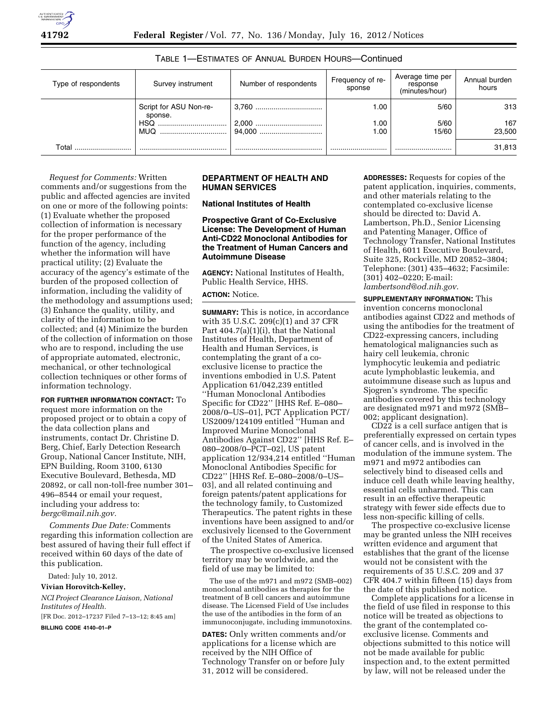

| Type of respondents | Survey instrument                 | Number of respondents | Frequency of re-<br>sponse | Average time per<br>response<br>(minutes/hour) | Annual burden<br>hours |
|---------------------|-----------------------------------|-----------------------|----------------------------|------------------------------------------------|------------------------|
|                     | Script for ASU Non-re-<br>sponse. |                       | 1.00                       | 5/60                                           | 313                    |
|                     | <b>HSQ</b>                        |                       | 1.00                       | 5/60                                           | 167                    |
|                     | <b>MUQ</b>                        |                       | 1.00                       | 15/60                                          | 23.500                 |
| $\mathsf{Total}$    |                                   |                       |                            |                                                | 31,813                 |

# TABLE 1—ESTIMATES OF ANNUAL BURDEN HOURS—Continued

*Request for Comments:* Written comments and/or suggestions from the public and affected agencies are invited on one or more of the following points: (1) Evaluate whether the proposed collection of information is necessary for the proper performance of the function of the agency, including whether the information will have practical utility; (2) Evaluate the accuracy of the agency's estimate of the burden of the proposed collection of information, including the validity of the methodology and assumptions used; (3) Enhance the quality, utility, and clarity of the information to be collected; and (4) Minimize the burden of the collection of information on those who are to respond, including the use of appropriate automated, electronic, mechanical, or other technological collection techniques or other forms of information technology.

**FOR FURTHER INFORMATION CONTACT:** To request more information on the proposed project or to obtain a copy of the data collection plans and instruments, contact Dr. Christine D. Berg, Chief, Early Detection Research Group, National Cancer Institute, NIH, EPN Building, Room 3100, 6130 Executive Boulevard, Bethesda, MD 20892, or call non-toll-free number 301– 496–8544 or email your request, including your address to: *[bergc@mail.nih.gov.](mailto:bergc@mail.nih.gov)* 

*Comments Due Date:* Comments regarding this information collection are best assured of having their full effect if received within 60 days of the date of this publication.

Dated: July 10, 2012.

# **Vivian Horovitch-Kelley,**

*NCI Project Clearance Liaison, National Institutes of Health.*  [FR Doc. 2012–17237 Filed 7–13–12; 8:45 am]

**BILLING CODE 4140–01–P** 

#### **DEPARTMENT OF HEALTH AND HUMAN SERVICES**

**National Institutes of Health** 

**Prospective Grant of Co-Exclusive License: The Development of Human Anti-CD22 Monoclonal Antibodies for the Treatment of Human Cancers and Autoimmune Disease** 

**AGENCY:** National Institutes of Health, Public Health Service, HHS.

**ACTION:** Notice.

**SUMMARY:** This is notice, in accordance with 35 U.S.C. 209(c)(1) and 37 CFR Part 404.7(a)(1)(i), that the National Institutes of Health, Department of Health and Human Services, is contemplating the grant of a coexclusive license to practice the inventions embodied in U.S. Patent Application 61/042,239 entitled ''Human Monoclonal Antibodies Specific for CD22'' [HHS Ref. E–080– 2008/0–US–01], PCT Application PCT/ US2009/124109 entitled ''Human and Improved Murine Monoclonal Antibodies Against CD22'' [HHS Ref. E– 080–2008/0–PCT–02], US patent application 12/934,214 entitled ''Human Monoclonal Antibodies Specific for CD22'' [HHS Ref. E–080–2008/0–US– 03], and all related continuing and foreign patents/patent applications for the technology family, to Customized Therapeutics. The patent rights in these inventions have been assigned to and/or exclusively licensed to the Government of the United States of America.

The prospective co-exclusive licensed territory may be worldwide, and the field of use may be limited to:

The use of the m971 and m972 (SMB–002) monoclonal antibodies as therapies for the treatment of B cell cancers and autoimmune disease. The Licensed Field of Use includes the use of the antibodies in the form of an immunoconjugate, including immunotoxins.

**DATES:** Only written comments and/or applications for a license which are received by the NIH Office of Technology Transfer on or before July 31, 2012 will be considered.

**ADDRESSES:** Requests for copies of the patent application, inquiries, comments, and other materials relating to the contemplated co-exclusive license should be directed to: David A. Lambertson, Ph.D., Senior Licensing and Patenting Manager, Office of Technology Transfer, National Institutes of Health, 6011 Executive Boulevard, Suite 325, Rockville, MD 20852–3804; Telephone: (301) 435–4632; Facsimile: (301) 402–0220; E-mail: *[lambertsond@od.nih.gov](mailto:lambertsond@od.nih.gov)*.

**SUPPLEMENTARY INFORMATION:** This invention concerns monoclonal antibodies against CD22 and methods of using the antibodies for the treatment of CD22-expressing cancers, including hematological malignancies such as hairy cell leukemia, chronic lymphocytic leukemia and pediatric acute lymphoblastic leukemia, and autoimmune disease such as lupus and Sjogren's syndrome. The specific antibodies covered by this technology are designated m971 and m972 (SMB– 002; applicant designation).

CD22 is a cell surface antigen that is preferentially expressed on certain types of cancer cells, and is involved in the modulation of the immune system. The m971 and m972 antibodies can selectively bind to diseased cells and induce cell death while leaving healthy, essential cells unharmed. This can result in an effective therapeutic strategy with fewer side effects due to less non-specific killing of cells.

The prospective co-exclusive license may be granted unless the NIH receives written evidence and argument that establishes that the grant of the license would not be consistent with the requirements of 35 U.S.C. 209 and 37 CFR 404.7 within fifteen (15) days from the date of this published notice.

Complete applications for a license in the field of use filed in response to this notice will be treated as objections to the grant of the contemplated coexclusive license. Comments and objections submitted to this notice will not be made available for public inspection and, to the extent permitted by law, will not be released under the